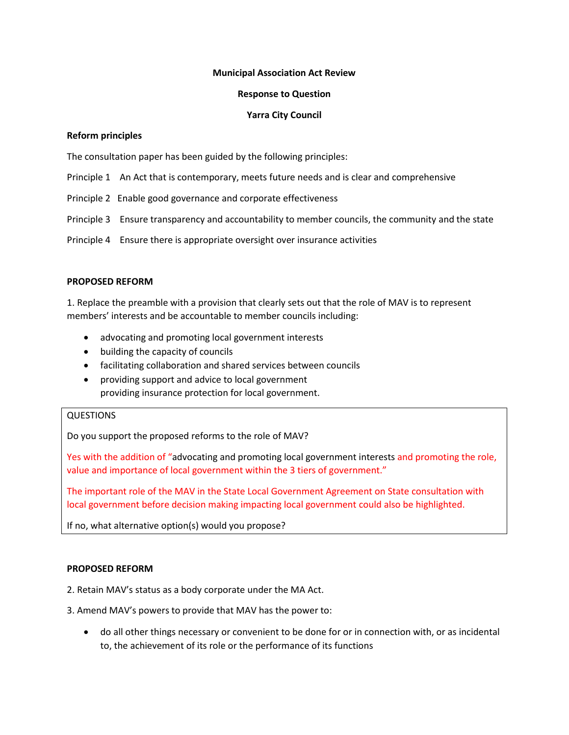#### **Municipal Association Act Review**

#### **Response to Question**

## **Yarra City Council**

#### **Reform principles**

The consultation paper has been guided by the following principles:

- Principle 1 An Act that is contemporary, meets future needs and is clear and comprehensive
- Principle 2 Enable good governance and corporate effectiveness
- Principle 3 Ensure transparency and accountability to member councils, the community and the state
- Principle 4 Ensure there is appropriate oversight over insurance activities

#### **PROPOSED REFORM**

1. Replace the preamble with a provision that clearly sets out that the role of MAV is to represent members' interests and be accountable to member councils including:

- advocating and promoting local government interests
- building the capacity of councils
- facilitating collaboration and shared services between councils
- providing support and advice to local government providing insurance protection for local government.

# QUESTIONS

Do you support the proposed reforms to the role of MAV?

Yes with the addition of "advocating and promoting local government interests and promoting the role, value and importance of local government within the 3 tiers of government."

The important role of the MAV in the State Local Government Agreement on State consultation with local government before decision making impacting local government could also be highlighted.

If no, what alternative option(s) would you propose?

#### **PROPOSED REFORM**

2. Retain MAV's status as a body corporate under the MA Act.

- 3. Amend MAV's powers to provide that MAV has the power to:
	- do all other things necessary or convenient to be done for or in connection with, or as incidental to, the achievement of its role or the performance of its functions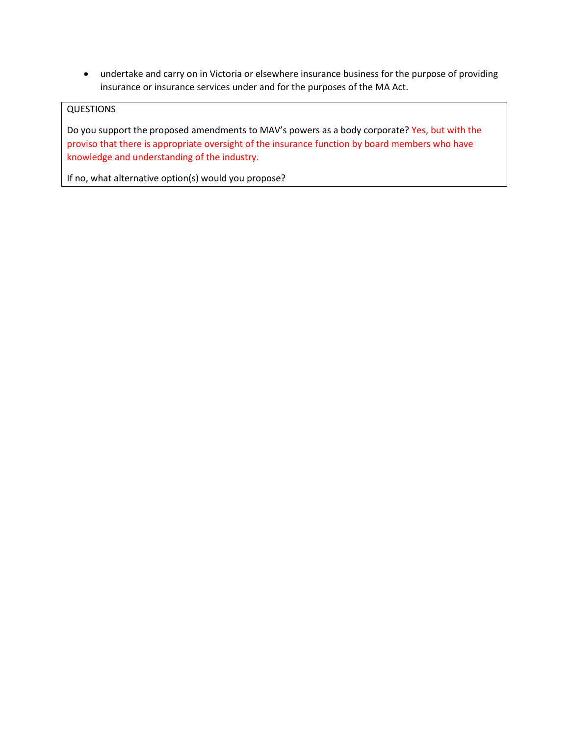undertake and carry on in Victoria or elsewhere insurance business for the purpose of providing insurance or insurance services under and for the purposes of the MA Act.

# **QUESTIONS**

Do you support the proposed amendments to MAV's powers as a body corporate? Yes, but with the proviso that there is appropriate oversight of the insurance function by board members who have knowledge and understanding of the industry.

If no, what alternative option(s) would you propose?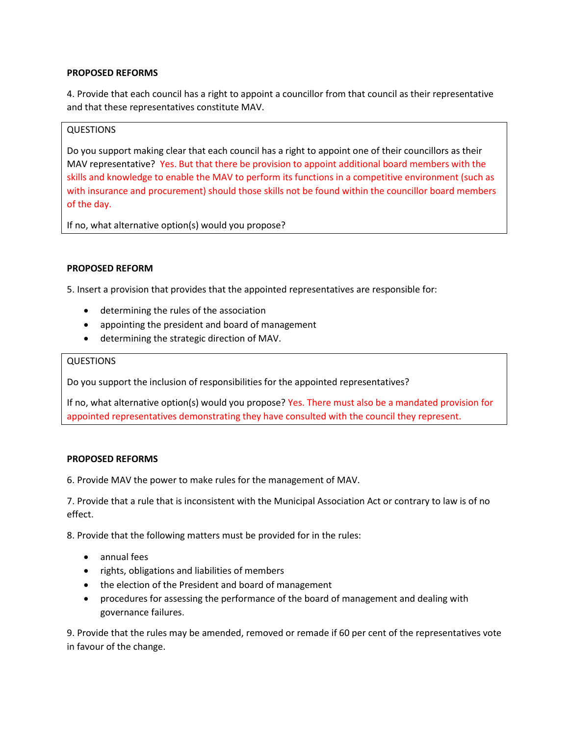# **PROPOSED REFORMS**

4. Provide that each council has a right to appoint a councillor from that council as their representative and that these representatives constitute MAV.

#### QUESTIONS

Do you support making clear that each council has a right to appoint one of their councillors as their MAV representative? Yes. But that there be provision to appoint additional board members with the skills and knowledge to enable the MAV to perform its functions in a competitive environment (such as with insurance and procurement) should those skills not be found within the councillor board members of the day.

If no, what alternative option(s) would you propose?

# **PROPOSED REFORM**

5. Insert a provision that provides that the appointed representatives are responsible for:

- determining the rules of the association
- appointing the president and board of management
- determining the strategic direction of MAV.

#### **QUESTIONS**

Do you support the inclusion of responsibilities for the appointed representatives?

If no, what alternative option(s) would you propose? Yes. There must also be a mandated provision for appointed representatives demonstrating they have consulted with the council they represent.

#### **PROPOSED REFORMS**

6. Provide MAV the power to make rules for the management of MAV.

7. Provide that a rule that is inconsistent with the Municipal Association Act or contrary to law is of no effect.

8. Provide that the following matters must be provided for in the rules:

- annual fees
- rights, obligations and liabilities of members
- the election of the President and board of management
- procedures for assessing the performance of the board of management and dealing with governance failures.

9. Provide that the rules may be amended, removed or remade if 60 per cent of the representatives vote in favour of the change.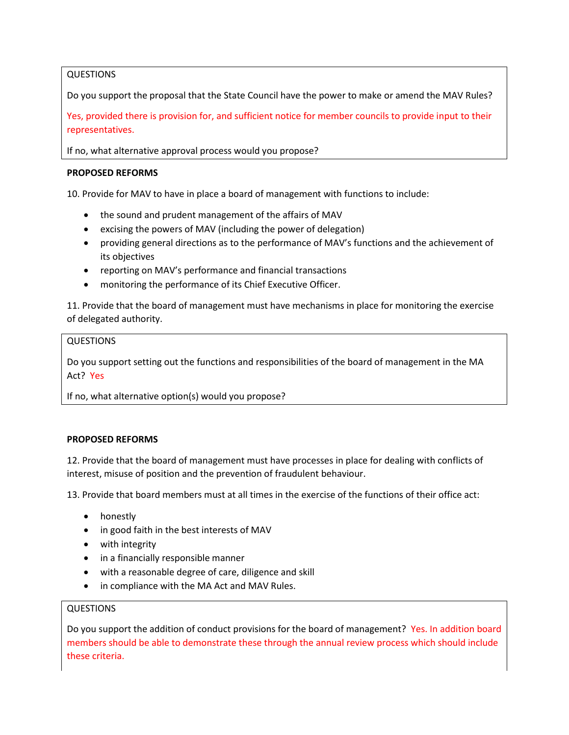# QUESTIONS

Do you support the proposal that the State Council have the power to make or amend the MAV Rules?

Yes, provided there is provision for, and sufficient notice for member councils to provide input to their representatives.

If no, what alternative approval process would you propose?

#### **PROPOSED REFORMS**

10. Provide for MAV to have in place a board of management with functions to include:

- the sound and prudent management of the affairs of MAV
- excising the powers of MAV (including the power of delegation)
- providing general directions as to the performance of MAV's functions and the achievement of its objectives
- reporting on MAV's performance and financial transactions
- monitoring the performance of its Chief Executive Officer.

11. Provide that the board of management must have mechanisms in place for monitoring the exercise of delegated authority.

#### QUESTIONS

Do you support setting out the functions and responsibilities of the board of management in the MA Act? Yes

If no, what alternative option(s) would you propose?

#### **PROPOSED REFORMS**

12. Provide that the board of management must have processes in place for dealing with conflicts of interest, misuse of position and the prevention of fraudulent behaviour.

13. Provide that board members must at all times in the exercise of the functions of their office act:

- honestly
- in good faith in the best interests of MAV
- with integrity
- in a financially responsible manner
- with a reasonable degree of care, diligence and skill
- in compliance with the MA Act and MAV Rules.

# QUESTIONS

Do you support the addition of conduct provisions for the board of management? Yes. In addition board members should be able to demonstrate these through the annual review process which should include these criteria.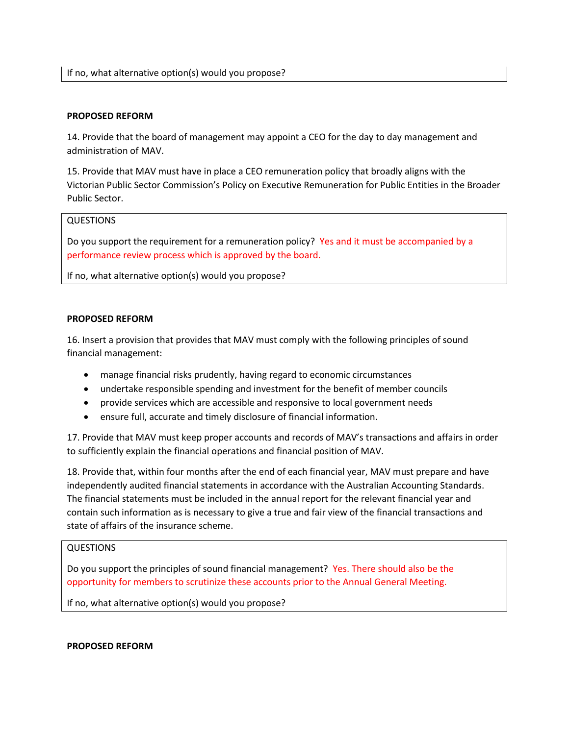#### **PROPOSED REFORM**

14. Provide that the board of management may appoint a CEO for the day to day management and administration of MAV.

15. Provide that MAV must have in place a CEO remuneration policy that broadly aligns with the Victorian Public Sector Commission's Policy on Executive Remuneration for Public Entities in the Broader Public Sector.

#### QUESTIONS

Do you support the requirement for a remuneration policy? Yes and it must be accompanied by a performance review process which is approved by the board.

If no, what alternative option(s) would you propose?

#### **PROPOSED REFORM**

16. Insert a provision that provides that MAV must comply with the following principles of sound financial management:

- manage financial risks prudently, having regard to economic circumstances
- undertake responsible spending and investment for the benefit of member councils
- provide services which are accessible and responsive to local government needs
- ensure full, accurate and timely disclosure of financial information.

17. Provide that MAV must keep proper accounts and records of MAV's transactions and affairs in order to sufficiently explain the financial operations and financial position of MAV.

18. Provide that, within four months after the end of each financial year, MAV must prepare and have independently audited financial statements in accordance with the Australian Accounting Standards. The financial statements must be included in the annual report for the relevant financial year and contain such information as is necessary to give a true and fair view of the financial transactions and state of affairs of the insurance scheme.

### QUESTIONS

Do you support the principles of sound financial management? Yes. There should also be the opportunity for members to scrutinize these accounts prior to the Annual General Meeting.

If no, what alternative option(s) would you propose?

**PROPOSED REFORM**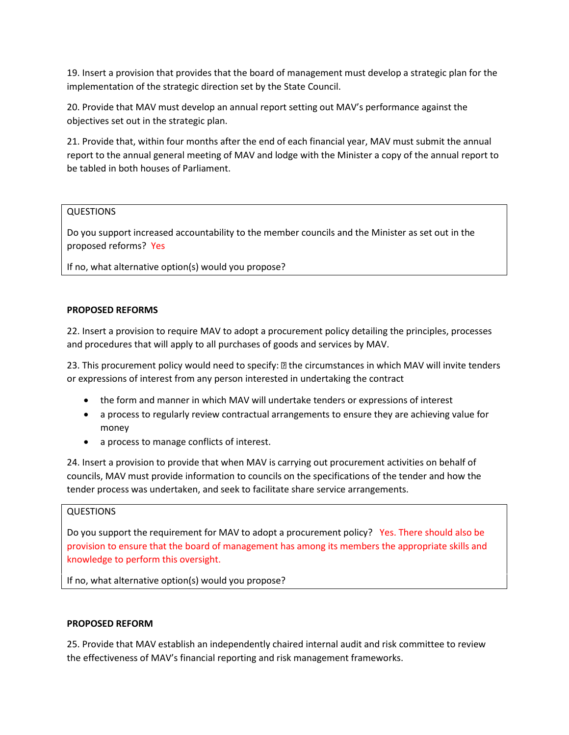19. Insert a provision that provides that the board of management must develop a strategic plan for the implementation of the strategic direction set by the State Council.

20. Provide that MAV must develop an annual report setting out MAV's performance against the objectives set out in the strategic plan.

21. Provide that, within four months after the end of each financial year, MAV must submit the annual report to the annual general meeting of MAV and lodge with the Minister a copy of the annual report to be tabled in both houses of Parliament.

#### QUESTIONS

Do you support increased accountability to the member councils and the Minister as set out in the proposed reforms? Yes

If no, what alternative option(s) would you propose?

# **PROPOSED REFORMS**

22. Insert a provision to require MAV to adopt a procurement policy detailing the principles, processes and procedures that will apply to all purchases of goods and services by MAV.

23. This procurement policy would need to specify: **D** the circumstances in which MAV will invite tenders or expressions of interest from any person interested in undertaking the contract

- the form and manner in which MAV will undertake tenders or expressions of interest
- a process to regularly review contractual arrangements to ensure they are achieving value for money
- a process to manage conflicts of interest.

24. Insert a provision to provide that when MAV is carrying out procurement activities on behalf of councils, MAV must provide information to councils on the specifications of the tender and how the tender process was undertaken, and seek to facilitate share service arrangements.

#### QUESTIONS

Do you support the requirement for MAV to adopt a procurement policy? Yes. There should also be provision to ensure that the board of management has among its members the appropriate skills and knowledge to perform this oversight.

If no, what alternative option(s) would you propose?

#### **PROPOSED REFORM**

25. Provide that MAV establish an independently chaired internal audit and risk committee to review the effectiveness of MAV's financial reporting and risk management frameworks.